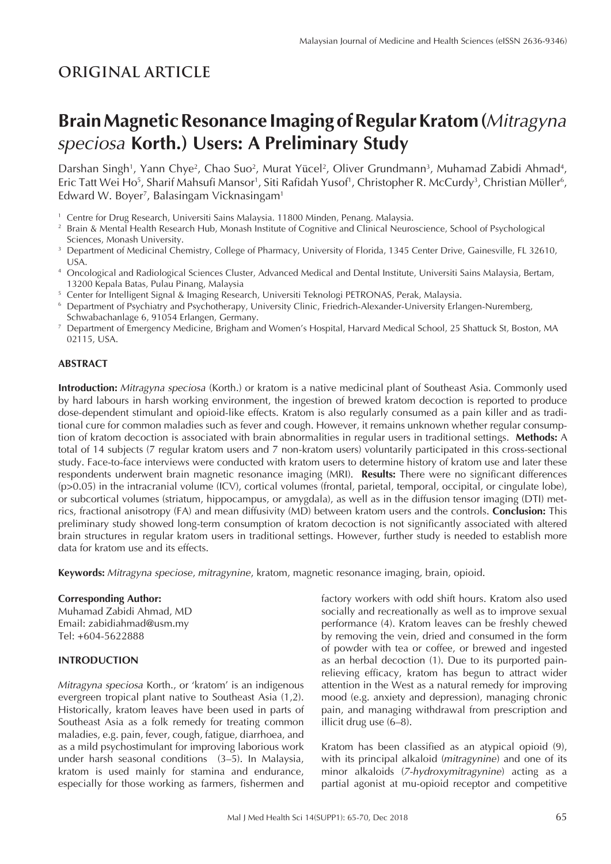## **ORIGINAL ARTICLE**

# **Brain Magnetic Resonance Imaging of Regular Kratom (***Mitragyna speciosa* **Korth.) Users: A Preliminary Study**

Darshan Singh<sup>1</sup>, Yann Chye<sup>2</sup>, Chao Suo<sup>2</sup>, Murat Yücel<sup>2</sup>, Oliver Grundmann<sup>3</sup>, Muhamad Zabidi Ahmad<sup>4</sup>, Eric Tatt Wei Ho<sup>s</sup>, Sharif Mahsufi Mansor<sup>1</sup>, Siti Rafidah Yusof<sup>1</sup>, Christopher R. McCurdy<sup>3</sup>, Christian Müller<sup>6</sup>, Edward W. Boyer<sup>7</sup>, Balasingam Vicknasingam<sup>1</sup>

- 
- <sup>1</sup> Centre for Drug Research, Universiti Sains Malaysia. 11800 Minden, Penang. Malaysia.<br><sup>2</sup> Brain & Mental Health Research Hub, Monash Institute of Cognitive and Clinical Neuroscience, School of Psychological
- Sciences, Monash University.<br>3 Department of Medicinal Chemistry, College of Pharmacy, University of Florida, 1345 Center Drive, Gainesville, FL 32610,
- USA. 4 Oncological and Radiological Sciences Cluster, Advanced Medical and Dental Institute, Universiti Sains Malaysia, Bertam, 13200 Kepala Batas, Pulau Pinang, Malaysia
- 
- <sup>5</sup> Center for Intelligent Signal & Imaging Research, Universiti Teknologi PETRONAS, Perak, Malaysia.<br><sup>6</sup> Department of Psychiatry and Psychotherapy, University Clinic, Friedrich-Alexander-University Erlangen-Nuremberg, Schwabachanlage 6, 91054 Erlangen, Germany.
- <sup>7</sup> Department of Emergency Medicine, Brigham and Women's Hospital, Harvard Medical School, 25 Shattuck St, Boston, MA 02115, USA.

#### **ABSTRACT**

**Introduction:** *Mitragyna speciosa* (Korth.) or kratom is a native medicinal plant of Southeast Asia. Commonly used by hard labours in harsh working environment, the ingestion of brewed kratom decoction is reported to produce dose-dependent stimulant and opioid-like effects. Kratom is also regularly consumed as a pain killer and as traditional cure for common maladies such as fever and cough. However, it remains unknown whether regular consumption of kratom decoction is associated with brain abnormalities in regular users in traditional settings. **Methods:** A total of 14 subjects (7 regular kratom users and 7 non-kratom users) voluntarily participated in this cross-sectional study. Face-to-face interviews were conducted with kratom users to determine history of kratom use and later these respondents underwent brain magnetic resonance imaging (MRI). **Results:** There were no significant differences (p>0.05) in the intracranial volume (ICV), cortical volumes (frontal, parietal, temporal, occipital, or cingulate lobe), or subcortical volumes (striatum, hippocampus, or amygdala), as well as in the diffusion tensor imaging (DTI) metrics, fractional anisotropy (FA) and mean diffusivity (MD) between kratom users and the controls. **Conclusion:** This preliminary study showed long-term consumption of kratom decoction is not significantly associated with altered brain structures in regular kratom users in traditional settings. However, further study is needed to establish more data for kratom use and its effects.

**Keywords:** *Mitragyna speciose*, *mitragynine*, kratom, magnetic resonance imaging, brain, opioid.

#### **Corresponding Author:**

Muhamad Zabidi Ahmad, MD Email: zabidiahmad@usm.my Tel: +604-5622888

## **INTRODUCTION**

*Mitragyna speciosa* Korth., or 'kratom' is an indigenous evergreen tropical plant native to Southeast Asia (1,2). Historically, kratom leaves have been used in parts of Southeast Asia as a folk remedy for treating common maladies, e.g. pain, fever, cough, fatigue, diarrhoea, and as a mild psychostimulant for improving laborious work under harsh seasonal conditions (3–5). In Malaysia, kratom is used mainly for stamina and endurance, especially for those working as farmers, fishermen and factory workers with odd shift hours. Kratom also used socially and recreationally as well as to improve sexual performance (4). Kratom leaves can be freshly chewed by removing the vein, dried and consumed in the form of powder with tea or coffee, or brewed and ingested as an herbal decoction (1). Due to its purported painrelieving efficacy, kratom has begun to attract wider attention in the West as a natural remedy for improving mood (e.g. anxiety and depression), managing chronic pain, and managing withdrawal from prescription and illicit drug use (6–8).

Kratom has been classified as an atypical opioid (9), with its principal alkaloid (*mitragynine*) and one of its minor alkaloids (*7-hydroxymitragynine*) acting as a partial agonist at mu-opioid receptor and competitive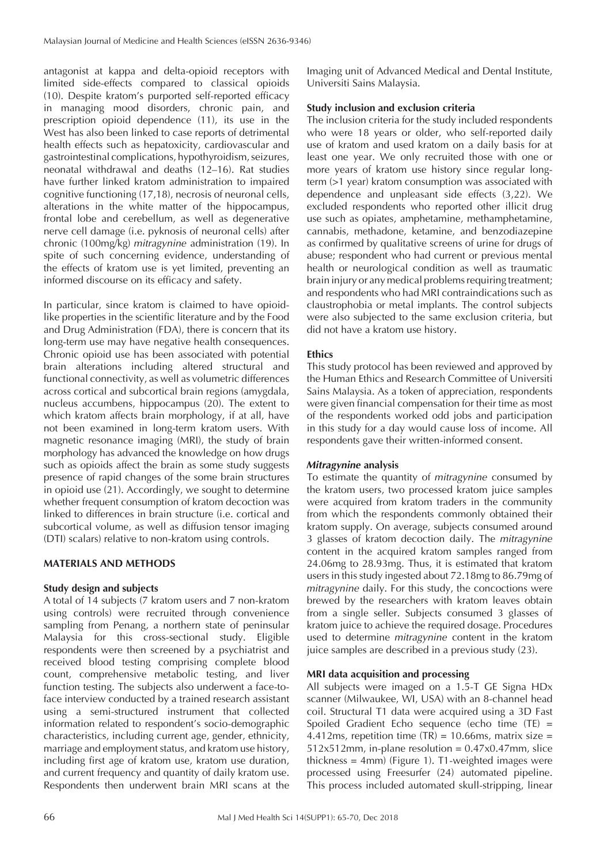antagonist at kappa and delta-opioid receptors with limited side-effects compared to classical opioids (10). Despite kratom's purported self-reported efficacy in managing mood disorders, chronic pain, and prescription opioid dependence (11), its use in the West has also been linked to case reports of detrimental health effects such as hepatoxicity, cardiovascular and gastrointestinal complications, hypothyroidism, seizures, neonatal withdrawal and deaths (12–16). Rat studies have further linked kratom administration to impaired cognitive functioning (17,18), necrosis of neuronal cells, alterations in the white matter of the hippocampus, frontal lobe and cerebellum, as well as degenerative nerve cell damage (i.e. pyknosis of neuronal cells) after chronic (100mg/kg) *mitragynine* administration (19). In spite of such concerning evidence, understanding of the effects of kratom use is yet limited, preventing an informed discourse on its efficacy and safety.

In particular, since kratom is claimed to have opioidlike properties in the scientific literature and by the Food and Drug Administration (FDA), there is concern that its long-term use may have negative health consequences. Chronic opioid use has been associated with potential brain alterations including altered structural and functional connectivity, as well as volumetric differences across cortical and subcortical brain regions (amygdala, nucleus accumbens, hippocampus (20). The extent to which kratom affects brain morphology, if at all, have not been examined in long-term kratom users. With magnetic resonance imaging (MRI), the study of brain morphology has advanced the knowledge on how drugs such as opioids affect the brain as some study suggests presence of rapid changes of the some brain structures in opioid use (21). Accordingly, we sought to determine whether frequent consumption of kratom decoction was linked to differences in brain structure (i.e. cortical and subcortical volume, as well as diffusion tensor imaging (DTI) scalars) relative to non-kratom using controls.

## **MATERIALS AND METHODS**

## **Study design and subjects**

A total of 14 subjects (7 kratom users and 7 non-kratom using controls) were recruited through convenience sampling from Penang, a northern state of peninsular Malaysia for this cross-sectional study. Eligible respondents were then screened by a psychiatrist and received blood testing comprising complete blood count, comprehensive metabolic testing, and liver function testing. The subjects also underwent a face-toface interview conducted by a trained research assistant using a semi-structured instrument that collected information related to respondent's socio-demographic characteristics, including current age, gender, ethnicity, marriage and employment status, and kratom use history, including first age of kratom use, kratom use duration, and current frequency and quantity of daily kratom use. Respondents then underwent brain MRI scans at the

Imaging unit of Advanced Medical and Dental Institute, Universiti Sains Malaysia.

#### **Study inclusion and exclusion criteria**

The inclusion criteria for the study included respondents who were 18 years or older, who self-reported daily use of kratom and used kratom on a daily basis for at least one year. We only recruited those with one or more years of kratom use history since regular longterm (>1 year) kratom consumption was associated with dependence and unpleasant side effects (3,22). We excluded respondents who reported other illicit drug use such as opiates, amphetamine, methamphetamine, cannabis, methadone, ketamine, and benzodiazepine as confirmed by qualitative screens of urine for drugs of abuse; respondent who had current or previous mental health or neurological condition as well as traumatic brain injury or any medical problems requiring treatment; and respondents who had MRI contraindications such as claustrophobia or metal implants. The control subjects were also subjected to the same exclusion criteria, but did not have a kratom use history.

## **Ethics**

This study protocol has been reviewed and approved by the Human Ethics and Research Committee of Universiti Sains Malaysia. As a token of appreciation, respondents were given financial compensation for their time as most of the respondents worked odd jobs and participation in this study for a day would cause loss of income. All respondents gave their written-informed consent.

#### *Mitragynine* **analysis**

To estimate the quantity of *mitragynine* consumed by the kratom users, two processed kratom juice samples were acquired from kratom traders in the community from which the respondents commonly obtained their kratom supply. On average, subjects consumed around 3 glasses of kratom decoction daily. The *mitragynine* content in the acquired kratom samples ranged from 24.06mg to 28.93mg. Thus, it is estimated that kratom users in this study ingested about 72.18mg to 86.79mg of *mitragynine* daily. For this study, the concoctions were brewed by the researchers with kratom leaves obtain from a single seller. Subjects consumed 3 glasses of kratom juice to achieve the required dosage. Procedures used to determine *mitragynine* content in the kratom juice samples are described in a previous study (23).

## **MRI data acquisition and processing**

All subjects were imaged on a 1.5-T GE Signa HDx scanner (Milwaukee, WI, USA) with an 8-channel head coil. Structural T1 data were acquired using a 3D Fast Spoiled Gradient Echo sequence (echo time (TE) = 4.412ms, repetition time  $(TR) = 10.66$ ms, matrix size =  $512x512mm$ , in-plane resolution =  $0.47x0.47mm$ , slice thickness = 4mm) (Figure 1). T1-weighted images were processed using Freesurfer (24) automated pipeline. This process included automated skull-stripping, linear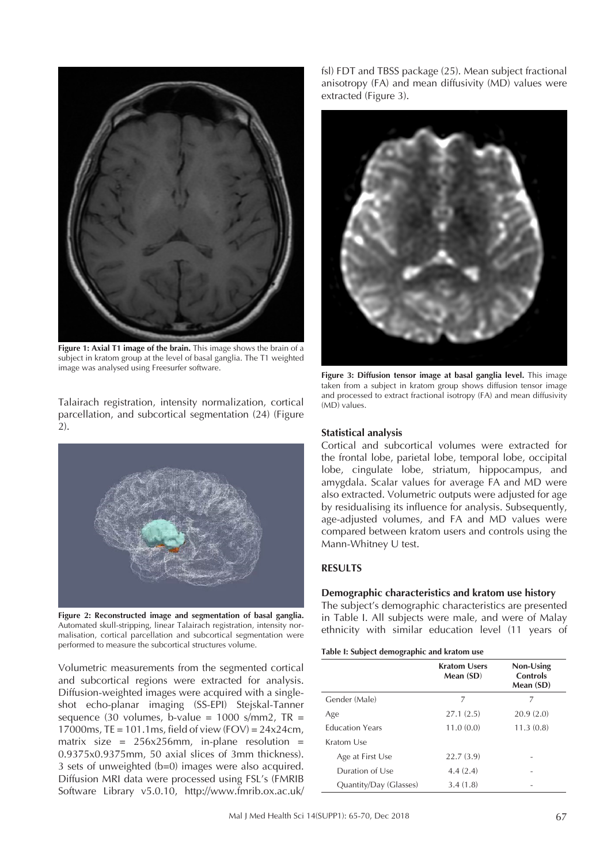

**Figure 1: Axial T1 image of the brain.** This image shows the brain of a subject in kratom group at the level of basal ganglia. The T1 weighted image was analysed using Freesurfer software.

Talairach registration, intensity normalization, cortical parcellation, and subcortical segmentation (24) (Figure 2).



**Figure 2: Reconstructed image and segmentation of basal ganglia.**  Automated skull-stripping, linear Talairach registration, intensity normalisation, cortical parcellation and subcortical segmentation were performed to measure the subcortical structures volume.

Volumetric measurements from the segmented cortical and subcortical regions were extracted for analysis. Diffusion-weighted images were acquired with a singleshot echo-planar imaging (SS-EPI) Stejskal-Tanner sequence (30 volumes, b-value =  $1000$  s/mm2, TR = 17000ms, TE = 101.1ms, field of view (FOV) = 24x24cm, matrix size =  $256x256mm$ , in-plane resolution = 0.9375x0.9375mm, 50 axial slices of 3mm thickness). 3 sets of unweighted (b=0) images were also acquired. Diffusion MRI data were processed using FSL's (FMRIB Software Library v5.0.10, http://www.fmrib.ox.ac.uk/ fsl) FDT and TBSS package (25). Mean subject fractional anisotropy (FA) and mean diffusivity (MD) values were extracted (Figure 3).



**Figure 3: Diffusion tensor image at basal ganglia level.** This image taken from a subject in kratom group shows diffusion tensor image and processed to extract fractional isotropy (FA) and mean diffusivity (MD) values.

## **Statistical analysis**

Cortical and subcortical volumes were extracted for the frontal lobe, parietal lobe, temporal lobe, occipital lobe, cingulate lobe, striatum, hippocampus, and amygdala. Scalar values for average FA and MD were also extracted. Volumetric outputs were adjusted for age by residualising its influence for analysis. Subsequently, age-adjusted volumes, and FA and MD values were compared between kratom users and controls using the Mann-Whitney U test.

#### **RESULTS**

#### **Demographic characteristics and kratom use history**

The subject's demographic characteristics are presented in Table I. All subjects were male, and were of Malay ethnicity with similar education level (11 years of

#### **Table I: Subject demographic and kratom use**

|                        | <b>Kratom Users</b><br>Mean (SD) | Non-Using<br>Controls<br>Mean (SD) |
|------------------------|----------------------------------|------------------------------------|
| Gender (Male)          | 7                                | 7                                  |
| Age                    | 27.1(2.5)                        | 20.9(2.0)                          |
| <b>Education Years</b> | 11.0(0.0)                        | 11.3(0.8)                          |
| Kratom Use             |                                  |                                    |
| Age at First Use       | 22.7(3.9)                        |                                    |
| Duration of Use        | 4.4(2.4)                         |                                    |
| Quantity/Day (Glasses) | 3.4(1.8)                         |                                    |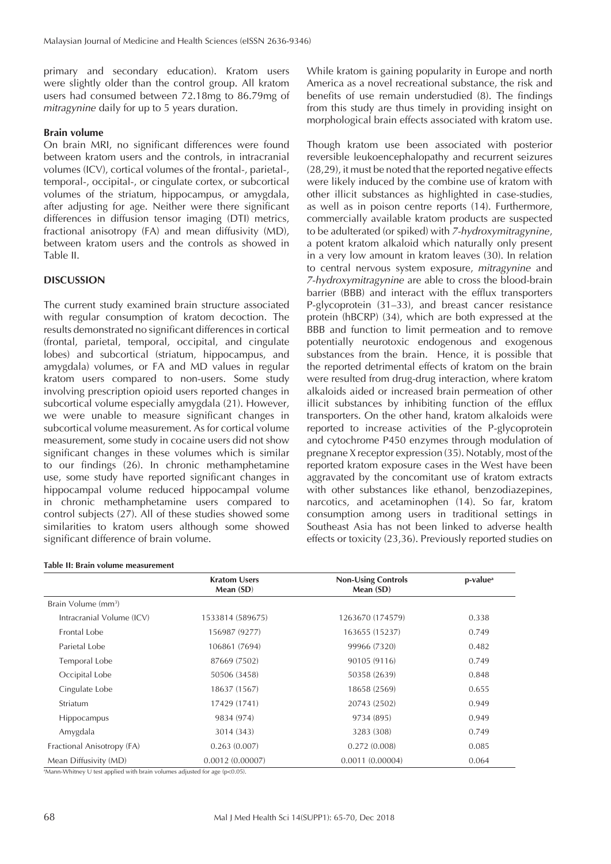primary and secondary education). Kratom users were slightly older than the control group. All kratom users had consumed between 72.18mg to 86.79mg of *mitragynine* daily for up to 5 years duration.

#### **Brain volume**

On brain MRI, no significant differences were found between kratom users and the controls, in intracranial volumes (ICV), cortical volumes of the frontal-, parietal-, temporal-, occipital-, or cingulate cortex, or subcortical volumes of the striatum, hippocampus, or amygdala, after adjusting for age. Neither were there significant differences in diffusion tensor imaging (DTI) metrics, fractional anisotropy (FA) and mean diffusivity (MD), between kratom users and the controls as showed in Table II.

#### **DISCUSSION**

The current study examined brain structure associated with regular consumption of kratom decoction. The results demonstrated no significant differences in cortical (frontal, parietal, temporal, occipital, and cingulate lobes) and subcortical (striatum, hippocampus, and amygdala) volumes, or FA and MD values in regular kratom users compared to non-users. Some study involving prescription opioid users reported changes in subcortical volume especially amygdala (21). However, we were unable to measure significant changes in subcortical volume measurement. As for cortical volume measurement, some study in cocaine users did not show significant changes in these volumes which is similar to our findings (26). In chronic methamphetamine use, some study have reported significant changes in hippocampal volume reduced hippocampal volume in chronic methamphetamine users compared to control subjects (27). All of these studies showed some similarities to kratom users although some showed significant difference of brain volume.

#### **Table II: Brain volume measurement**

While kratom is gaining popularity in Europe and north America as a novel recreational substance, the risk and benefits of use remain understudied (8). The findings from this study are thus timely in providing insight on morphological brain effects associated with kratom use.

Though kratom use been associated with posterior reversible leukoencephalopathy and recurrent seizures (28,29), it must be noted that the reported negative effects were likely induced by the combine use of kratom with other illicit substances as highlighted in case-studies, as well as in poison centre reports (14). Furthermore, commercially available kratom products are suspected to be adulterated (or spiked) with *7-hydroxymitragynine*, a potent kratom alkaloid which naturally only present in a very low amount in kratom leaves (30). In relation to central nervous system exposure, *mitragynine* and *7-hydroxymitragynine* are able to cross the blood-brain barrier (BBB) and interact with the efflux transporters P-glycoprotein (31–33), and breast cancer resistance protein (hBCRP) (34), which are both expressed at the BBB and function to limit permeation and to remove potentially neurotoxic endogenous and exogenous substances from the brain. Hence, it is possible that the reported detrimental effects of kratom on the brain were resulted from drug-drug interaction, where kratom alkaloids aided or increased brain permeation of other illicit substances by inhibiting function of the efflux transporters. On the other hand, kratom alkaloids were reported to increase activities of the P-glycoprotein and cytochrome P450 enzymes through modulation of pregnane X receptor expression (35). Notably, most of the reported kratom exposure cases in the West have been aggravated by the concomitant use of kratom extracts with other substances like ethanol, benzodiazepines, narcotics, and acetaminophen (14). So far, kratom consumption among users in traditional settings in Southeast Asia has not been linked to adverse health effects or toxicity (23,36). Previously reported studies on

|                                 | <b>Kratom Users</b><br>Mean (SD) | <b>Non-Using Controls</b><br>Mean (SD) | p-value <sup>a</sup> |
|---------------------------------|----------------------------------|----------------------------------------|----------------------|
| Brain Volume (mm <sup>3</sup> ) |                                  |                                        |                      |
| Intracranial Volume (ICV)       | 1533814 (589675)                 | 1263670 (174579)                       | 0.338                |
| Frontal Lobe                    | 156987 (9277)                    | 163655 (15237)                         | 0.749                |
| Parietal Lobe                   | 106861 (7694)                    | 99966 (7320)                           | 0.482                |
| Temporal Lobe                   | 87669 (7502)                     | 90105 (9116)                           | 0.749                |
| Occipital Lobe                  | 50506 (3458)                     | 50358 (2639)                           | 0.848                |
| Cingulate Lobe                  | 18637 (1567)                     | 18658 (2569)                           | 0.655                |
| Striatum                        | 17429 (1741)                     | 20743 (2502)                           | 0.949                |
| <b>Hippocampus</b>              | 9834 (974)                       | 9734 (895)                             | 0.949                |
| Amygdala                        | 3014 (343)                       | 3283 (308)                             | 0.749                |
| Fractional Anisotropy (FA)      | 0.263(0.007)                     | 0.272(0.008)                           | 0.085                |
| Mean Diffusivity (MD)           | 0.0012(0.00007)                  | 0.0011(0.00004)                        | 0.064                |

a Mann-Whitney U test applied with brain volumes adjusted for age (p<0.05).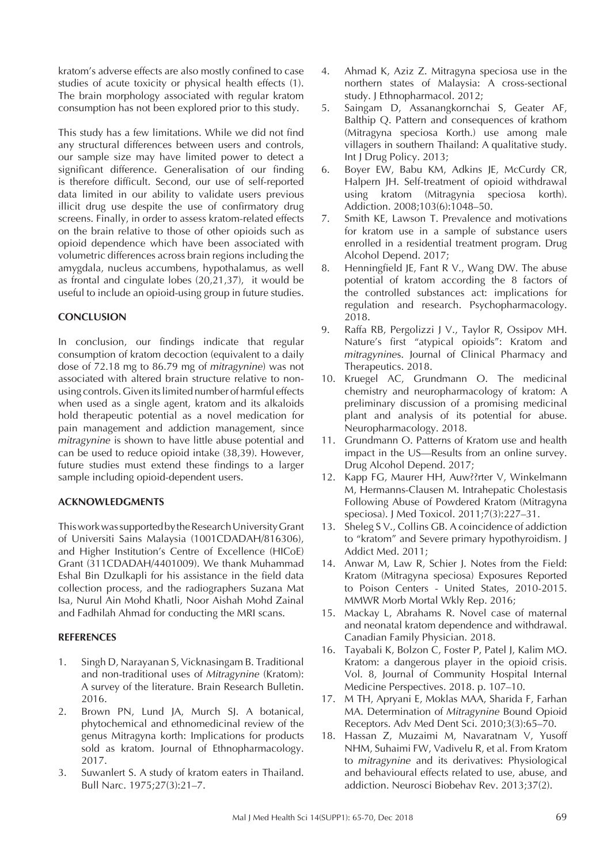kratom's adverse effects are also mostly confined to case studies of acute toxicity or physical health effects (1). The brain morphology associated with regular kratom consumption has not been explored prior to this study.

This study has a few limitations. While we did not find any structural differences between users and controls, our sample size may have limited power to detect a significant difference. Generalisation of our finding is therefore difficult. Second, our use of self-reported data limited in our ability to validate users previous illicit drug use despite the use of confirmatory drug screens. Finally, in order to assess kratom-related effects on the brain relative to those of other opioids such as opioid dependence which have been associated with volumetric differences across brain regions including the amygdala, nucleus accumbens, hypothalamus, as well as frontal and cingulate lobes (20,21,37), it would be useful to include an opioid-using group in future studies.

## **CONCLUSION**

In conclusion, our findings indicate that regular consumption of kratom decoction (equivalent to a daily dose of 72.18 mg to 86.79 mg of *mitragynine*) was not associated with altered brain structure relative to nonusing controls. Given its limited number of harmful effects when used as a single agent, kratom and its alkaloids hold therapeutic potential as a novel medication for pain management and addiction management, since *mitragynine* is shown to have little abuse potential and can be used to reduce opioid intake (38,39). However, future studies must extend these findings to a larger sample including opioid-dependent users.

#### **ACKNOWLEDGMENTS**

This work was supported by the Research University Grant of Universiti Sains Malaysia (1001CDADAH/816306), and Higher Institution's Centre of Excellence (HICoE) Grant (311CDADAH/4401009). We thank Muhammad Eshal Bin Dzulkapli for his assistance in the field data collection process, and the radiographers Suzana Mat Isa, Nurul Ain Mohd Khatli, Noor Aishah Mohd Zainal and Fadhilah Ahmad for conducting the MRI scans.

#### **REFERENCES**

- 1. Singh D, Narayanan S, Vicknasingam B. Traditional and non-traditional uses of *Mitragynine* (Kratom): A survey of the literature. Brain Research Bulletin. 2016.
- 2. Brown PN, Lund JA, Murch SJ. A botanical, phytochemical and ethnomedicinal review of the genus Mitragyna korth: Implications for products sold as kratom. Journal of Ethnopharmacology. 2017.
- 3. Suwanlert S. A study of kratom eaters in Thailand. Bull Narc. 1975;27(3):21–7.
- 4. Ahmad K, Aziz Z. Mitragyna speciosa use in the northern states of Malaysia: A cross-sectional study. J Ethnopharmacol. 2012;
- 5. Saingam D, Assanangkornchai S, Geater AF, Balthip Q. Pattern and consequences of krathom (Mitragyna speciosa Korth.) use among male villagers in southern Thailand: A qualitative study. Int J Drug Policy. 2013;
- 6. Boyer EW, Babu KM, Adkins JE, McCurdy CR, Halpern JH. Self-treatment of opioid withdrawal using kratom (Mitragynia speciosa korth). Addiction. 2008;103(6):1048–50.
- 7. Smith KE, Lawson T. Prevalence and motivations for kratom use in a sample of substance users enrolled in a residential treatment program. Drug Alcohol Depend. 2017;
- 8. Henningfield JE, Fant R V., Wang DW. The abuse potential of kratom according the 8 factors of the controlled substances act: implications for regulation and research. Psychopharmacology. 2018.
- 9. Raffa RB, Pergolizzi J V., Taylor R, Ossipov MH. Nature's first "atypical opioids": Kratom and *mitragynine*s. Journal of Clinical Pharmacy and Therapeutics. 2018.
- 10. Kruegel AC, Grundmann O. The medicinal chemistry and neuropharmacology of kratom: A preliminary discussion of a promising medicinal plant and analysis of its potential for abuse. Neuropharmacology. 2018.
- 11. Grundmann O. Patterns of Kratom use and health impact in the US—Results from an online survey. Drug Alcohol Depend. 2017;
- 12. Kapp FG, Maurer HH, Auw??rter V, Winkelmann M, Hermanns-Clausen M. Intrahepatic Cholestasis Following Abuse of Powdered Kratom (Mitragyna speciosa). J Med Toxicol. 2011;7(3):227–31.
- 13. Sheleg S V., Collins GB. A coincidence of addiction to "kratom" and Severe primary hypothyroidism. J Addict Med. 2011;
- 14. Anwar M, Law R, Schier J. Notes from the Field: Kratom (Mitragyna speciosa) Exposures Reported to Poison Centers - United States, 2010-2015. MMWR Morb Mortal Wkly Rep. 2016;
- 15. Mackay L, Abrahams R. Novel case of maternal and neonatal kratom dependence and withdrawal. Canadian Family Physician. 2018.
- 16. Tayabali K, Bolzon C, Foster P, Patel J, Kalim MO. Kratom: a dangerous player in the opioid crisis. Vol. 8, Journal of Community Hospital Internal Medicine Perspectives. 2018. p. 107–10.
- 17. M TH, Apryani E, Moklas MAA, Sharida F, Farhan MA. Determination of *Mitragynine* Bound Opioid Receptors. Adv Med Dent Sci. 2010;3(3):65–70.
- 18. Hassan Z, Muzaimi M, Navaratnam V, Yusoff NHM, Suhaimi FW, Vadivelu R, et al. From Kratom to *mitragynine* and its derivatives: Physiological and behavioural effects related to use, abuse, and addiction. Neurosci Biobehav Rev. 2013;37(2).